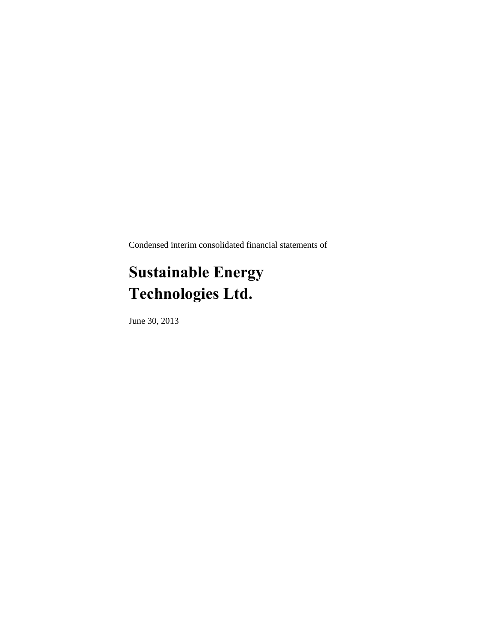Condensed interim consolidated financial statements of

# **Sustainable Energy Technologies Ltd.**

June 30, 2013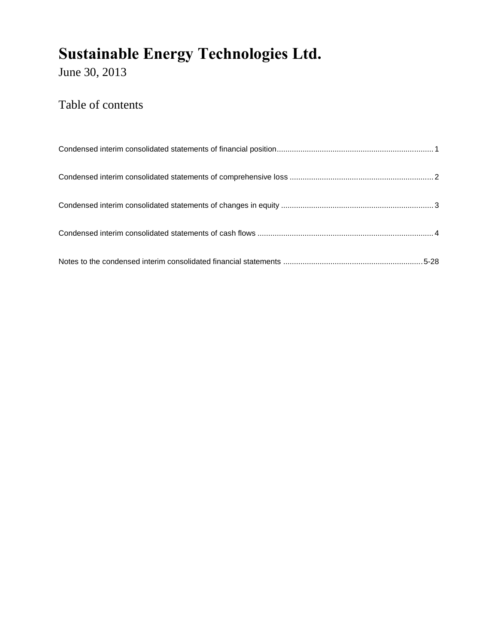June 30, 2013

## Table of contents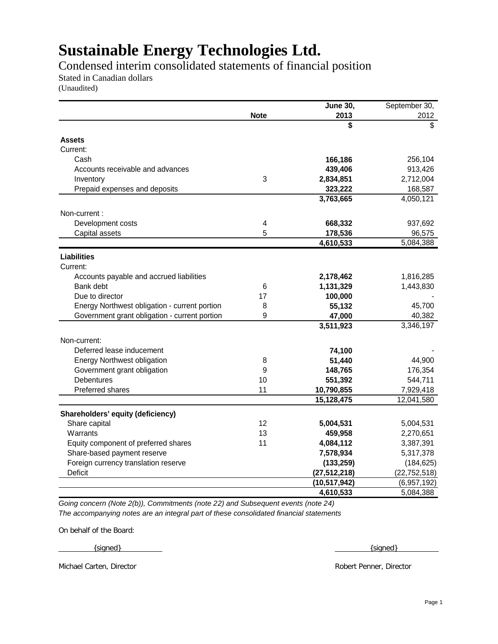Condensed interim consolidated statements of financial position

Stated in Canadian dollars

(Unaudited)

|                                               |             | <b>June 30,</b> | September 30,  |
|-----------------------------------------------|-------------|-----------------|----------------|
|                                               | <b>Note</b> | 2013            | 2012           |
|                                               |             | \$              | \$             |
| <b>Assets</b>                                 |             |                 |                |
| Current:                                      |             |                 |                |
| Cash                                          |             | 166,186         | 256,104        |
| Accounts receivable and advances              |             | 439,406         | 913,426        |
| Inventory                                     | $\sqrt{3}$  | 2,834,851       | 2,712,004      |
| Prepaid expenses and deposits                 |             | 323,222         | 168,587        |
|                                               |             | 3,763,665       | 4,050,121      |
| Non-current:                                  |             |                 |                |
|                                               |             |                 |                |
| Development costs                             | 4           | 668,332         | 937,692        |
| Capital assets                                | 5           | 178,536         | 96,575         |
|                                               |             | 4,610,533       | 5,084,388      |
| <b>Liabilities</b>                            |             |                 |                |
| Current:                                      |             |                 |                |
| Accounts payable and accrued liabilities      |             | 2,178,462       | 1,816,285      |
| Bank debt                                     | 6           | 1,131,329       | 1,443,830      |
| Due to director                               | 17          | 100,000         |                |
| Energy Northwest obligation - current portion | 8           | 55,132          | 45,700         |
| Government grant obligation - current portion | 9           | 47,000          | 40,382         |
|                                               |             | 3,511,923       | 3,346,197      |
| Non-current:                                  |             |                 |                |
| Deferred lease inducement                     |             | 74,100          |                |
| <b>Energy Northwest obligation</b>            | 8           | 51,440          | 44,900         |
| Government grant obligation                   | 9           | 148,765         | 176,354        |
| <b>Debentures</b>                             | 10          | 551,392         | 544,711        |
| Preferred shares                              | 11          | 10,790,855      | 7,929,418      |
|                                               |             | 15,128,475      | 12,041,580     |
| Shareholders' equity (deficiency)             |             |                 |                |
| Share capital                                 | 12          | 5,004,531       | 5,004,531      |
| Warrants                                      | 13          | 459,958         | 2,270,651      |
| Equity component of preferred shares          | 11          | 4,084,112       | 3,387,391      |
|                                               |             |                 |                |
| Share-based payment reserve                   |             | 7,578,934       | 5,317,378      |
| Foreign currency translation reserve          |             | (133, 259)      | (184, 625)     |
| Deficit                                       |             | (27, 512, 218)  | (22, 752, 518) |
|                                               |             | (10, 517, 942)  | (6,957,192)    |
|                                               |             | 4,610,533       | 5,084,388      |

*Going concern (Note 2(b)), Commitments (note 22) and Subsequent events (note 24) The accompanying notes are an integral part of these consolidated financial statements*

On behalf of the Board:

 $\{signed\}$   $\{\{square\}$ 

Michael Carten, Director Robert Penner, Director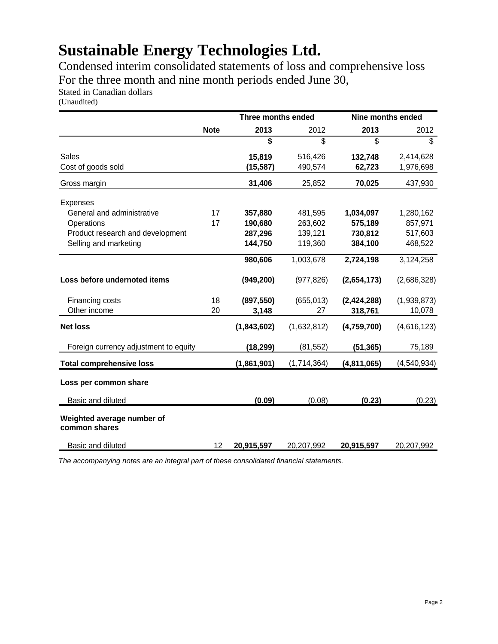Condensed interim consolidated statements of loss and comprehensive loss For the three month and nine month periods ended June 30,

Stated in Canadian dollars

(Unaudited)

|                                             | Three months ended |             | Nine months ended |               |               |
|---------------------------------------------|--------------------|-------------|-------------------|---------------|---------------|
|                                             | <b>Note</b>        | 2013        | 2012              | 2013          | 2012          |
|                                             |                    | \$          | \$                | \$            | \$            |
| Sales                                       |                    | 15,819      | 516,426           | 132,748       | 2,414,628     |
| Cost of goods sold                          |                    | (15,587)    | 490,574           | 62,723        | 1,976,698     |
| Gross margin                                |                    | 31,406      | 25,852            | 70,025        | 437,930       |
| Expenses                                    |                    |             |                   |               |               |
| General and administrative                  | 17                 | 357,880     | 481,595           | 1,034,097     | 1,280,162     |
| Operations                                  | 17                 | 190,680     | 263,602           | 575,189       | 857,971       |
| Product research and development            |                    | 287,296     | 139,121           | 730,812       | 517,603       |
| Selling and marketing                       |                    | 144,750     | 119,360           | 384,100       | 468,522       |
|                                             |                    | 980,606     | 1,003,678         | 2,724,198     | 3,124,258     |
| Loss before undernoted items                |                    | (949, 200)  | (977, 826)        | (2,654,173)   | (2,686,328)   |
| Financing costs                             | 18                 | (897, 550)  | (655, 013)        | (2, 424, 288) | (1,939,873)   |
| Other income                                | 20                 | 3,148       | 27                | 318,761       | 10,078        |
| <b>Net loss</b>                             |                    | (1,843,602) | (1,632,812)       | (4,759,700)   | (4,616,123)   |
| Foreign currency adjustment to equity       |                    | (18, 299)   | (81, 552)         | (51, 365)     | 75,189        |
| <b>Total comprehensive loss</b>             |                    | (1,861,901) | (1,714,364)       | (4,811,065)   | (4, 540, 934) |
| Loss per common share                       |                    |             |                   |               |               |
| Basic and diluted                           |                    | (0.09)      | (0.08)            | (0.23)        | (0.23)        |
|                                             |                    |             |                   |               |               |
| Weighted average number of<br>common shares |                    |             |                   |               |               |
| Basic and diluted                           | 12                 | 20,915,597  | 20,207,992        | 20,915,597    | 20,207,992    |

*The accompanying notes are an integral part of these consolidated financial statements.*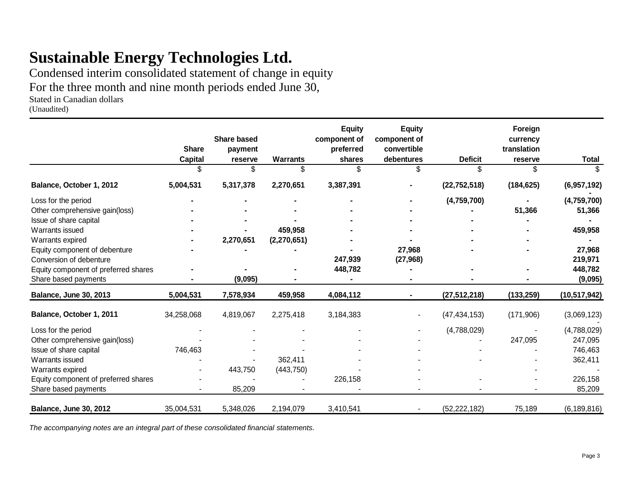Condensed interim consolidated statement of change in equity For the three month and nine month periods ended June 30,

Stated in Canadian dollars

(Unaudited)

|                                      | <b>Share</b><br><b>Capital</b> | <b>Share based</b><br>payment<br>reserve | <b>Warrants</b> | <b>Equity</b><br>component of<br>preferred<br>shares | <b>Equity</b><br>component of<br>convertible<br>debentures | <b>Deficit</b> | Foreign<br>currency<br>translation<br>reserve | <b>Total</b>   |
|--------------------------------------|--------------------------------|------------------------------------------|-----------------|------------------------------------------------------|------------------------------------------------------------|----------------|-----------------------------------------------|----------------|
|                                      |                                | \$                                       | \$.             | \$.                                                  |                                                            | \$             |                                               |                |
| Balance, October 1, 2012             | 5,004,531                      | 5,317,378                                | 2,270,651       | 3,387,391                                            |                                                            | (22, 752, 518) | (184, 625)                                    | (6,957,192)    |
| Loss for the period                  |                                |                                          |                 |                                                      |                                                            | (4,759,700)    |                                               | (4,759,700)    |
| Other comprehensive gain(loss)       |                                |                                          |                 |                                                      |                                                            |                | 51,366                                        | 51,366         |
| Issue of share capital               |                                |                                          |                 |                                                      |                                                            |                |                                               |                |
| Warrants issued                      |                                |                                          | 459,958         |                                                      |                                                            |                |                                               | 459,958        |
| Warrants expired                     |                                | 2,270,651                                | (2,270,651)     |                                                      |                                                            |                |                                               |                |
| Equity component of debenture        |                                |                                          |                 |                                                      | 27,968                                                     |                |                                               | 27,968         |
| Conversion of debenture              |                                |                                          |                 | 247,939                                              | (27, 968)                                                  |                |                                               | 219,971        |
| Equity component of preferred shares |                                |                                          |                 | 448,782                                              |                                                            |                |                                               | 448,782        |
| Share based payments                 |                                | (9,095)                                  |                 |                                                      |                                                            |                |                                               | (9,095)        |
| Balance, June 30, 2013               | 5,004,531                      | 7,578,934                                | 459,958         | 4,084,112                                            |                                                            | (27, 512, 218) | (133, 259)                                    | (10, 517, 942) |
| Balance, October 1, 2011             | 34,258,068                     | 4,819,067                                | 2,275,418       | 3,184,383                                            |                                                            | (47, 434, 153) | (171,906)                                     | (3,069,123)    |
| Loss for the period                  |                                |                                          |                 |                                                      |                                                            | (4,788,029)    |                                               | (4,788,029)    |
| Other comprehensive gain(loss)       |                                |                                          |                 |                                                      |                                                            |                | 247,095                                       | 247,095        |
| Issue of share capital               | 746,463                        |                                          |                 |                                                      |                                                            |                |                                               | 746,463        |
| Warrants issued                      |                                |                                          | 362,411         |                                                      |                                                            |                |                                               | 362,411        |
| Warrants expired                     |                                | 443,750                                  | (443, 750)      |                                                      |                                                            |                |                                               |                |
| Equity component of preferred shares |                                |                                          |                 | 226,158                                              |                                                            |                |                                               | 226,158        |
| Share based payments                 |                                | 85,209                                   |                 |                                                      |                                                            |                |                                               | 85,209         |
| <b>Balance, June 30, 2012</b>        | 35,004,531                     | 5,348,026                                | 2,194,079       | 3,410,541                                            |                                                            | (52, 222, 182) | 75,189                                        | (6, 189, 816)  |

*The accompanying notes are an integral part of these consolidated financial statements.*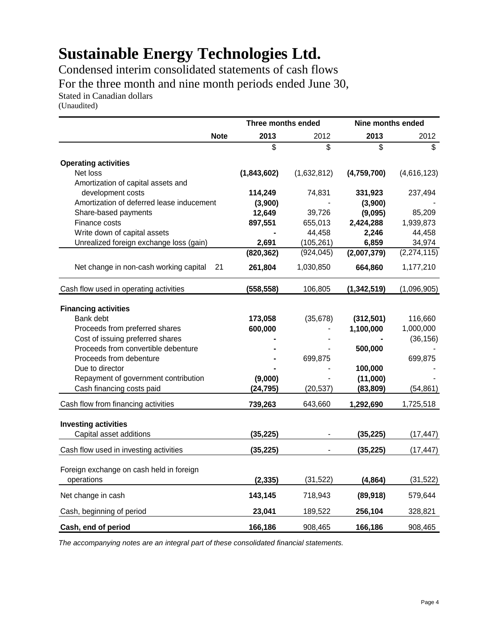Condensed interim consolidated statements of cash flows For the three month and nine month periods ended June 30, Stated in Canadian dollars

(Unaudited)

|                                              | Three months ended |             | Nine months ended |                         |
|----------------------------------------------|--------------------|-------------|-------------------|-------------------------|
| <b>Note</b>                                  | 2013               | 2012        | 2013              | 2012                    |
|                                              | \$                 | \$          | \$                | $\overline{\mathbb{S}}$ |
| <b>Operating activities</b>                  |                    |             |                   |                         |
| Net loss                                     | (1,843,602)        | (1,632,812) | (4,759,700)       | (4,616,123)             |
| Amortization of capital assets and           |                    |             |                   |                         |
| development costs                            | 114,249            | 74,831      | 331,923           | 237,494                 |
| Amortization of deferred lease inducement    | (3,900)            |             | (3,900)           |                         |
| Share-based payments                         | 12,649             | 39,726      | (9,095)           | 85,209                  |
| Finance costs                                | 897,551            | 655,013     | 2,424,288         | 1,939,873               |
| Write down of capital assets                 |                    | 44,458      | 2,246             | 44,458                  |
| Unrealized foreign exchange loss (gain)      | 2,691              | (105, 261)  | 6,859             | 34,974                  |
|                                              | (820, 362)         | (924, 045)  | (2,007,379)       | (2, 274, 115)           |
| Net change in non-cash working capital<br>21 | 261,804            | 1,030,850   | 664,860           | 1,177,210               |
| Cash flow used in operating activities       | (558, 558)         | 106,805     | (1, 342, 519)     | (1,096,905)             |
|                                              |                    |             |                   |                         |
| <b>Financing activities</b><br>Bank debt     | 173,058            | (35, 678)   | (312, 501)        | 116,660                 |
| Proceeds from preferred shares               | 600,000            |             | 1,100,000         | 1,000,000               |
| Cost of issuing preferred shares             |                    |             |                   |                         |
| Proceeds from convertible debenture          |                    |             | 500,000           | (36, 156)               |
| Proceeds from debenture                      |                    | 699,875     |                   | 699,875                 |
| Due to director                              |                    |             | 100,000           |                         |
| Repayment of government contribution         | (9,000)            |             | (11,000)          |                         |
| Cash financing costs paid                    | (24, 795)          | (20, 537)   | (83, 809)         | (54, 861)               |
|                                              |                    |             |                   |                         |
| Cash flow from financing activities          | 739,263            | 643,660     | 1,292,690         | 1,725,518               |
| <b>Investing activities</b>                  |                    |             |                   |                         |
| Capital asset additions                      | (35, 225)          |             | (35, 225)         | (17, 447)               |
| Cash flow used in investing activities       | (35, 225)          |             | (35, 225)         | (17, 447)               |
| Foreign exchange on cash held in foreign     |                    |             |                   |                         |
| operations                                   | (2, 335)           | (31, 522)   | (4,864)           | (31, 522)               |
| Net change in cash                           | 143,145            | 718,943     | (89, 918)         | 579,644                 |
| Cash, beginning of period                    | 23,041             | 189,522     | 256,104           | 328,821                 |
| Cash, end of period                          | 166,186            | 908,465     | 166,186           | 908,465                 |

*The accompanying notes are an integral part of these consolidated financial statements.*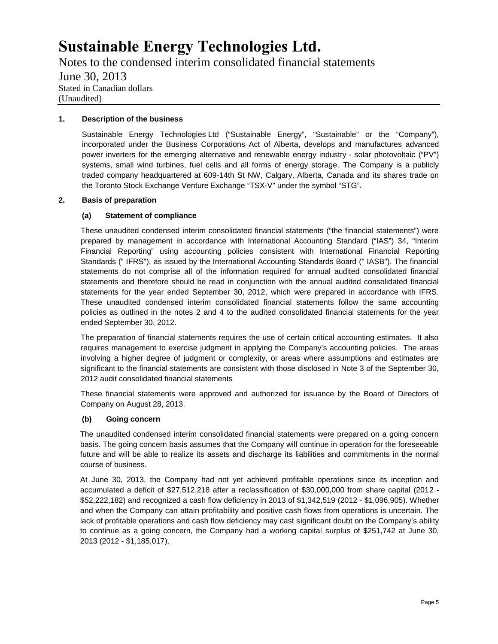Notes to the condensed interim consolidated financial statements June 30, 2013 Stated in Canadian dollars (Unaudited)

### **1. Description of the business**

Sustainable Energy Technologies Ltd ("Sustainable Energy", "Sustainable" or the "Company"), incorporated under the Business Corporations Act of Alberta, develops and manufactures advanced power inverters for the emerging alternative and renewable energy industry - solar photovoltaic ("PV") systems, small wind turbines, fuel cells and all forms of energy storage. The Company is a publicly traded company headquartered at 609-14th St NW, Calgary, Alberta, Canada and its shares trade on the Toronto Stock Exchange Venture Exchange "TSX-V" under the symbol "STG".

#### **2. Basis of preparation**

#### **(a) Statement of compliance**

These unaudited condensed interim consolidated financial statements ("the financial statements") were prepared by management in accordance with International Accounting Standard ("IAS") 34, "Interim Financial Reporting" using accounting policies consistent with International Financial Reporting Standards (" IFRS"), as issued by the International Accounting Standards Board (" IASB"). The financial statements do not comprise all of the information required for annual audited consolidated financial statements and therefore should be read in conjunction with the annual audited consolidated financial statements for the year ended September 30, 2012, which were prepared in accordance with IFRS. These unaudited condensed interim consolidated financial statements follow the same accounting policies as outlined in the notes 2 and 4 to the audited consolidated financial statements for the year ended September 30, 2012.

The preparation of financial statements requires the use of certain critical accounting estimates. It also requires management to exercise judgment in applying the Company's accounting policies. The areas involving a higher degree of judgment or complexity, or areas where assumptions and estimates are significant to the financial statements are consistent with those disclosed in Note 3 of the September 30, 2012 audit consolidated financial statements

These financial statements were approved and authorized for issuance by the Board of Directors of Company on August 28, 2013.

### **(b) Going concern**

The unaudited condensed interim consolidated financial statements were prepared on a going concern basis. The going concern basis assumes that the Company will continue in operation for the foreseeable future and will be able to realize its assets and discharge its liabilities and commitments in the normal course of business.

At June 30, 2013, the Company had not yet achieved profitable operations since its inception and accumulated a deficit of \$27,512,218 after a reclassification of \$30,000,000 from share capital (2012 - \$52,222,182) and recognized a cash flow deficiency in 2013 of \$1,342,519 (2012 - \$1,096,905). Whether and when the Company can attain profitability and positive cash flows from operations is uncertain. The lack of profitable operations and cash flow deficiency may cast significant doubt on the Company's ability to continue as a going concern, the Company had a working capital surplus of \$251,742 at June 30, 2013 (2012 - \$1,185,017).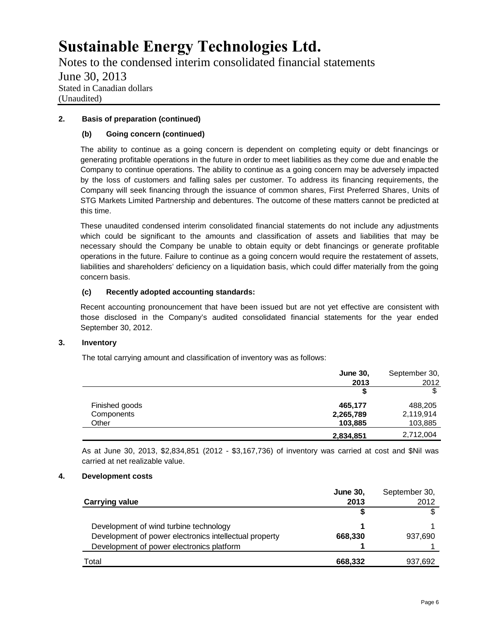Notes to the condensed interim consolidated financial statements June 30, 2013 Stated in Canadian dollars (Unaudited)

## **2. Basis of preparation (continued)**

## **(b) Going concern (continued)**

The ability to continue as a going concern is dependent on completing equity or debt financings or generating profitable operations in the future in order to meet liabilities as they come due and enable the Company to continue operations. The ability to continue as a going concern may be adversely impacted by the loss of customers and falling sales per customer. To address its financing requirements, the Company will seek financing through the issuance of common shares, First Preferred Shares, Units of STG Markets Limited Partnership and debentures. The outcome of these matters cannot be predicted at this time.

These unaudited condensed interim consolidated financial statements do not include any adjustments which could be significant to the amounts and classification of assets and liabilities that may be necessary should the Company be unable to obtain equity or debt financings or generate profitable operations in the future. Failure to continue as a going concern would require the restatement of assets, liabilities and shareholders' deficiency on a liquidation basis, which could differ materially from the going concern basis.

### **(c) Recently adopted accounting standards:**

Recent accounting pronouncement that have been issued but are not yet effective are consistent with those disclosed in the Company's audited consolidated financial statements for the year ended September 30, 2012.

### **3. Inventory**

The total carrying amount and classification of inventory was as follows:

|                | <b>June 30,</b> | September 30, |
|----------------|-----------------|---------------|
|                | 2013            | 2012          |
|                | S               |               |
| Finished goods | 465,177         | 488,205       |
| Components     | 2,265,789       | 2,119,914     |
| Other          | 103,885         | 103,885       |
|                | 2,834,851       | 2,712,004     |

As at June 30, 2013, \$2,834,851 (2012 - \$3,167,736) of inventory was carried at cost and \$Nil was carried at net realizable value.

### **4. Development costs**

|                                                        | June 30, | September 30, |
|--------------------------------------------------------|----------|---------------|
| <b>Carrying value</b>                                  | 2013     | 2012          |
|                                                        |          |               |
| Development of wind turbine technology                 |          |               |
| Development of power electronics intellectual property | 668,330  | 937,690       |
| Development of power electronics platform              |          |               |
| Total                                                  | 668,332  | 937,692       |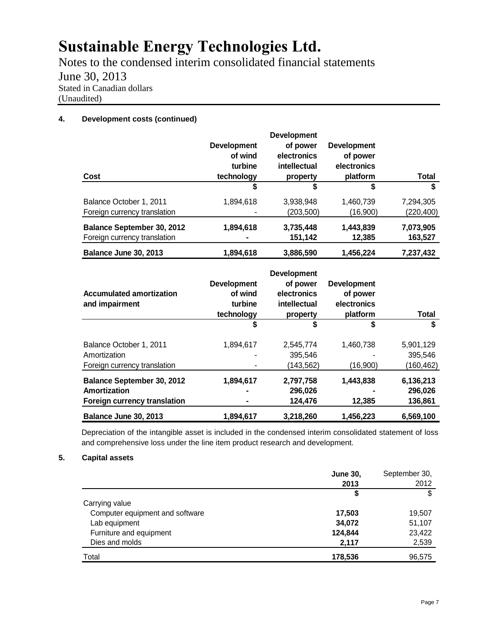Notes to the condensed interim consolidated financial statements June 30, 2013 Stated in Canadian dollars (Unaudited)

## **4. Development costs (continued)**

| Cost                                                              | <b>Development</b><br>of wind<br>turbine<br>technology | <b>Development</b><br>of power<br>electronics<br>intellectual<br>property | <b>Development</b><br>of power<br>electronics<br>platform | Total                   |
|-------------------------------------------------------------------|--------------------------------------------------------|---------------------------------------------------------------------------|-----------------------------------------------------------|-------------------------|
|                                                                   | S                                                      | S                                                                         | S                                                         | \$                      |
| Balance October 1, 2011<br>Foreign currency translation           | 1,894,618                                              | 3,938,948<br>(203,500)                                                    | 1,460,739<br>(16,900)                                     | 7,294,305<br>(220, 400) |
| <b>Balance September 30, 2012</b><br>Foreign currency translation | 1,894,618                                              | 3,735,448<br>151,142                                                      | 1,443,839<br>12,385                                       | 7,073,905<br>163,527    |
| Balance June 30, 2013                                             | 1,894,618                                              | 3,886,590                                                                 | 1,456,224                                                 | 7,237,432               |

| <b>Accumulated amortization</b><br>and impairment                                 | <b>Development</b><br>of wind<br>turbine<br>technology | <b>Development</b><br>of power<br>electronics<br>intellectual<br>property | <b>Development</b><br>of power<br>electronics<br>platform | <b>Total</b>                    |
|-----------------------------------------------------------------------------------|--------------------------------------------------------|---------------------------------------------------------------------------|-----------------------------------------------------------|---------------------------------|
|                                                                                   | \$                                                     | \$                                                                        | \$                                                        | \$                              |
| Balance October 1, 2011<br>Amortization                                           | 1,894,617                                              | 2,545,774<br>395,546                                                      | 1,460,738<br>۰                                            | 5,901,129<br>395,546            |
| Foreign currency translation                                                      |                                                        | (143,562)                                                                 | (16,900)                                                  | (160, 462)                      |
| <b>Balance September 30, 2012</b><br>Amortization<br>Foreign currency translation | 1,894,617                                              | 2,797,758<br>296,026<br>124,476                                           | 1,443,838<br>12,385                                       | 6,136,213<br>296,026<br>136,861 |
| Balance June 30, 2013                                                             | 1,894,617                                              | 3,218,260                                                                 | 1,456,223                                                 | 6,569,100                       |

Depreciation of the intangible asset is included in the condensed interim consolidated statement of loss and comprehensive loss under the line item product research and development.

## **5. Capital assets**

|                                 | <b>June 30,</b> | September 30, |
|---------------------------------|-----------------|---------------|
|                                 | 2013            | 2012          |
|                                 | ¢               | \$            |
| Carrying value                  |                 |               |
| Computer equipment and software | 17,503          | 19,507        |
| Lab equipment                   | 34,072          | 51,107        |
| Furniture and equipment         | 124,844         | 23,422        |
| Dies and molds                  | 2,117           | 2,539         |
| Total                           | 178,536         | 96,575        |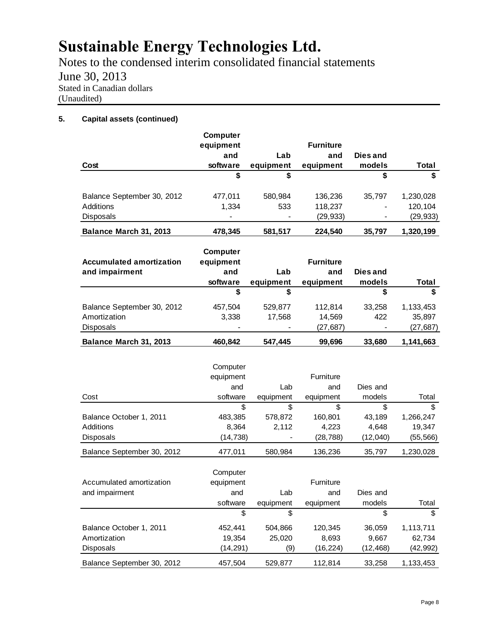Notes to the condensed interim consolidated financial statements June 30, 2013 Stated in Canadian dollars (Unaudited)

## **5. Capital assets (continued)**

| Cost                       | Computer<br>equipment<br>and<br>software | Lab<br>equipment | <b>Furniture</b><br>and<br>equipment | Dies and<br>models       | Total     |
|----------------------------|------------------------------------------|------------------|--------------------------------------|--------------------------|-----------|
|                            | \$                                       | \$               |                                      | \$                       | \$        |
| Balance September 30, 2012 | 477.011                                  | 580,984          | 136,236                              | 35.797                   | 1,230,028 |
| Additions                  | 1,334                                    | 533              | 118,237                              | -                        | 120.104   |
| <b>Disposals</b>           | $\blacksquare$                           |                  | (29, 933)                            | $\overline{\phantom{a}}$ | (29, 933) |
| Balance March 31, 2013     | 478,345                                  | 581,517          | 224,540                              | 35,797                   | 1,320,199 |

| <b>Accumulated amortization</b> | Computer<br>equipment |           | <b>Furniture</b> |                          |           |
|---------------------------------|-----------------------|-----------|------------------|--------------------------|-----------|
| and impairment                  | and                   | Lab       | and              | Dies and                 |           |
|                                 | software              | equipment | equipment        | models                   | Total     |
|                                 | \$                    | \$        |                  | \$                       | \$        |
| Balance September 30, 2012      | 457,504               | 529,877   | 112.814          | 33.258                   | 1,133,453 |
| Amortization                    | 3,338                 | 17,568    | 14,569           | 422                      | 35,897    |
| <b>Disposals</b>                |                       |           | (27, 687)        | $\overline{\phantom{a}}$ | (27, 687) |
| Balance March 31, 2013          | 460.842               | 547.445   | 99,696           | 33,680                   | 1,141,663 |

|                            | Computer  |           |           |          |           |
|----------------------------|-----------|-----------|-----------|----------|-----------|
|                            | equipment |           | Furniture |          |           |
|                            | and       | Lab       | and       | Dies and |           |
| Cost                       | software  | equipment | equipment | models   | Total     |
|                            | \$        | \$        | \$        | \$       | \$        |
| Balance October 1, 2011    | 483,385   | 578,872   | 160,801   | 43.189   | 1,266,247 |
| Additions                  | 8,364     | 2,112     | 4,223     | 4.648    | 19,347    |
| <b>Disposals</b>           | (14,738)  |           | (28, 788) | (12,040) | (55, 566) |
| Balance September 30, 2012 | 477.011   | 580.984   | 136.236   | 35.797   | 1.230.028 |

|                            | Computer  |           |           |           |           |
|----------------------------|-----------|-----------|-----------|-----------|-----------|
| Accumulated amortization   | equipment |           | Furniture |           |           |
| and impairment             | and       | Lab       | and       | Dies and  |           |
|                            | software  | equipment | equipment | models    | Total     |
|                            | \$        | \$        |           | S         | \$.       |
| Balance October 1, 2011    | 452.441   | 504.866   | 120.345   | 36,059    | 1,113,711 |
| Amortization               | 19,354    | 25,020    | 8,693     | 9,667     | 62,734    |
| <b>Disposals</b>           | (14, 291) | (9)       | (16, 224) | (12, 468) | (42,992)  |
| Balance September 30, 2012 | 457,504   | 529,877   | 112.814   | 33.258    | 1,133,453 |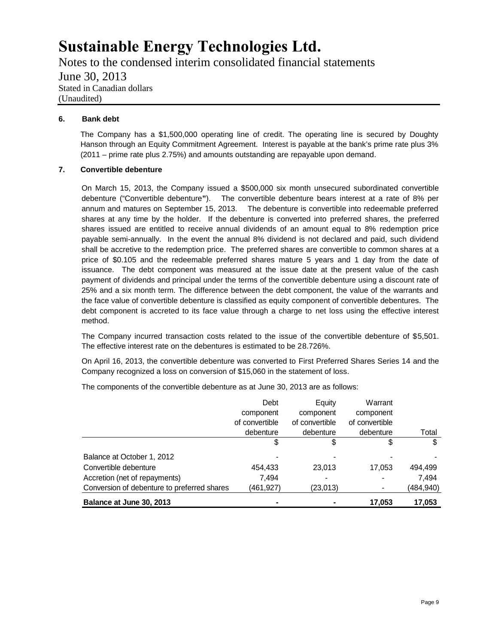Notes to the condensed interim consolidated financial statements June 30, 2013 Stated in Canadian dollars (Unaudited)

### **6. Bank debt**

The Company has a \$1,500,000 operating line of credit. The operating line is secured by Doughty Hanson through an Equity Commitment Agreement. Interest is payable at the bank's prime rate plus 3% (2011 – prime rate plus 2.75%) and amounts outstanding are repayable upon demand.

### **7. Convertible debenture**

On March 15, 2013, the Company issued a \$500,000 six month unsecured subordinated convertible debenture ("Convertible debenture**"**). The convertible debenture bears interest at a rate of 8% per annum and matures on September 15, 2013. The debenture is convertible into redeemable preferred shares at any time by the holder. If the debenture is converted into preferred shares, the preferred shares issued are entitled to receive annual dividends of an amount equal to 8% redemption price payable semi-annually. In the event the annual 8% dividend is not declared and paid, such dividend shall be accretive to the redemption price. The preferred shares are convertible to common shares at a price of \$0.105 and the redeemable preferred shares mature 5 years and 1 day from the date of issuance. The debt component was measured at the issue date at the present value of the cash payment of dividends and principal under the terms of the convertible debenture using a discount rate of 25% and a six month term. The difference between the debt component, the value of the warrants and the face value of convertible debenture is classified as equity component of convertible debentures. The debt component is accreted to its face value through a charge to net loss using the effective interest method.

The Company incurred transaction costs related to the issue of the convertible debenture of \$5,501. The effective interest rate on the debentures is estimated to be 28.726%.

On April 16, 2013, the convertible debenture was converted to First Preferred Shares Series 14 and the Company recognized a loss on conversion of \$15,060 in the statement of loss.

The components of the convertible debenture as at June 30, 2013 are as follows:

|                                             | Debt           | Equity         | Warrant        |           |
|---------------------------------------------|----------------|----------------|----------------|-----------|
|                                             | component      | component      | component      |           |
|                                             | of convertible | of convertible | of convertible |           |
|                                             | debenture      | debenture      | debenture      | Total     |
|                                             | \$             | \$             | \$             | \$        |
| Balance at October 1, 2012                  |                |                |                |           |
| Convertible debenture                       | 454.433        | 23,013         | 17.053         | 494,499   |
| Accretion (net of repayments)               | 7.494          |                |                | 7.494     |
| Conversion of debenture to preferred shares | (461,927)      | (23,013)       |                | (484,940) |
| Balance at June 30, 2013                    |                |                | 17,053         | 17,053    |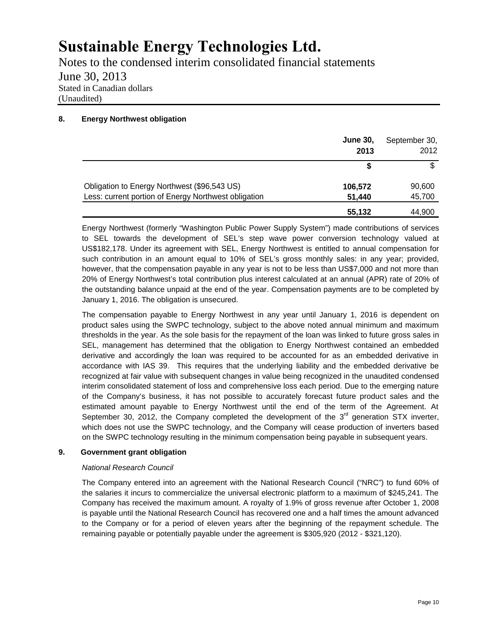Notes to the condensed interim consolidated financial statements June 30, 2013 Stated in Canadian dollars (Unaudited)

## **8. Energy Northwest obligation**

|                                                      | <b>June 30,</b><br>2013 | September 30,<br>2012 |
|------------------------------------------------------|-------------------------|-----------------------|
|                                                      |                         | \$                    |
| Obligation to Energy Northwest (\$96,543 US)         | 106,572                 | 90,600                |
| Less: current portion of Energy Northwest obligation | 51.440                  | 45,700                |
|                                                      | 55,132                  | 44,900                |

Energy Northwest (formerly "Washington Public Power Supply System") made contributions of services to SEL towards the development of SEL's step wave power conversion technology valued at US\$182,178. Under its agreement with SEL, Energy Northwest is entitled to annual compensation for such contribution in an amount equal to 10% of SEL's gross monthly sales: in any year; provided, however, that the compensation payable in any year is not to be less than US\$7,000 and not more than 20% of Energy Northwest's total contribution plus interest calculated at an annual (APR) rate of 20% of the outstanding balance unpaid at the end of the year. Compensation payments are to be completed by January 1, 2016. The obligation is unsecured.

The compensation payable to Energy Northwest in any year until January 1, 2016 is dependent on product sales using the SWPC technology, subject to the above noted annual minimum and maximum thresholds in the year. As the sole basis for the repayment of the loan was linked to future gross sales in SEL, management has determined that the obligation to Energy Northwest contained an embedded derivative and accordingly the loan was required to be accounted for as an embedded derivative in accordance with IAS 39. This requires that the underlying liability and the embedded derivative be recognized at fair value with subsequent changes in value being recognized in the unaudited condensed interim consolidated statement of loss and comprehensive loss each period. Due to the emerging nature of the Company's business, it has not possible to accurately forecast future product sales and the estimated amount payable to Energy Northwest until the end of the term of the Agreement. At September 30, 2012, the Company completed the development of the  $3<sup>rd</sup>$  generation STX inverter, which does not use the SWPC technology, and the Company will cease production of inverters based on the SWPC technology resulting in the minimum compensation being payable in subsequent years.

### **9. Government grant obligation**

### *National Research Council*

The Company entered into an agreement with the National Research Council ("NRC") to fund 60% of the salaries it incurs to commercialize the universal electronic platform to a maximum of \$245,241. The Company has received the maximum amount. A royalty of 1.9% of gross revenue after October 1, 2008 is payable until the National Research Council has recovered one and a half times the amount advanced to the Company or for a period of eleven years after the beginning of the repayment schedule. The remaining payable or potentially payable under the agreement is \$305,920 (2012 - \$321,120).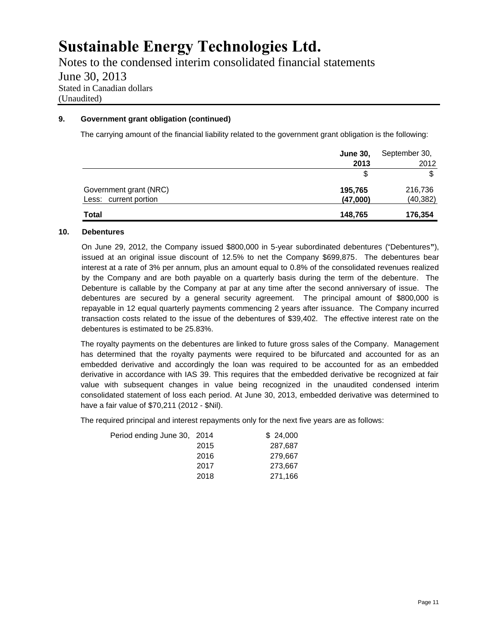Notes to the condensed interim consolidated financial statements June 30, 2013 Stated in Canadian dollars (Unaudited)

## **9. Government grant obligation (continued)**

The carrying amount of the financial liability related to the government grant obligation is the following:

|                        | <b>June 30,</b> | September 30, |
|------------------------|-----------------|---------------|
|                        | 2013            | 2012          |
|                        |                 | \$            |
| Government grant (NRC) | 195,765         | 216,736       |
| Less: current portion  | (47,000)        | (40, 382)     |
| <b>Total</b>           | 148,765         | 176,354       |

### **10. Debentures**

On June 29, 2012, the Company issued \$800,000 in 5-year subordinated debentures ("Debentures**"**), issued at an original issue discount of 12.5% to net the Company \$699,875. The debentures bear interest at a rate of 3% per annum, plus an amount equal to 0.8% of the consolidated revenues realized by the Company and are both payable on a quarterly basis during the term of the debenture. The Debenture is callable by the Company at par at any time after the second anniversary of issue. The debentures are secured by a general security agreement. The principal amount of \$800,000 is repayable in 12 equal quarterly payments commencing 2 years after issuance. The Company incurred transaction costs related to the issue of the debentures of \$39,402. The effective interest rate on the debentures is estimated to be 25.83%.

The royalty payments on the debentures are linked to future gross sales of the Company. Management has determined that the royalty payments were required to be bifurcated and accounted for as an embedded derivative and accordingly the loan was required to be accounted for as an embedded derivative in accordance with IAS 39. This requires that the embedded derivative be recognized at fair value with subsequent changes in value being recognized in the unaudited condensed interim consolidated statement of loss each period. At June 30, 2013, embedded derivative was determined to have a fair value of \$70,211 (2012 - \$Nil).

The required principal and interest repayments only for the next five years are as follows:

| Period ending June 30, 2014 |      | \$24,000 |
|-----------------------------|------|----------|
|                             | 2015 | 287,687  |
|                             | 2016 | 279.667  |
|                             | 2017 | 273,667  |
|                             | 2018 | 271,166  |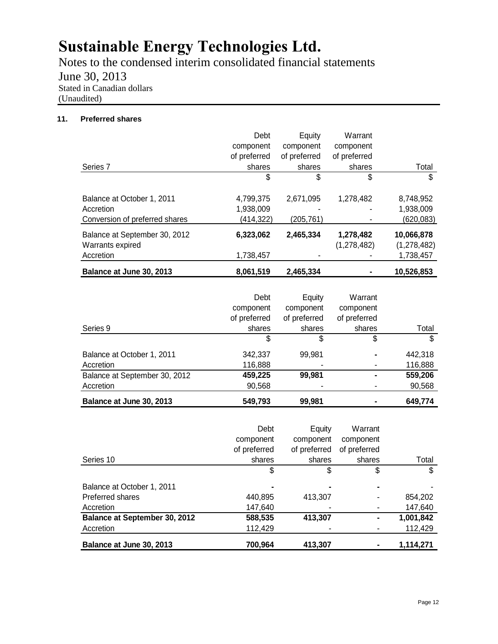Notes to the condensed interim consolidated financial statements June 30, 2013 Stated in Canadian dollars (Unaudited)

## **11. Preferred shares**

|                                | Debt         | Equity       | Warrant      |             |
|--------------------------------|--------------|--------------|--------------|-------------|
|                                | component    | component    | component    |             |
|                                | of preferred | of preferred | of preferred |             |
| Series 7                       | shares       | shares       | shares       | Total       |
|                                | \$           | \$           | \$           | \$          |
| Balance at October 1, 2011     | 4,799,375    | 2,671,095    | 1,278,482    | 8,748,952   |
| Accretion                      | 1,938,009    |              |              | 1,938,009   |
| Conversion of preferred shares | (414,322)    | (205, 761)   |              | (620, 083)  |
| Balance at September 30, 2012  | 6,323,062    | 2,465,334    | 1,278,482    | 10,066,878  |
| Warrants expired               |              |              | (1,278,482)  | (1,278,482) |
| Accretion                      | 1,738,457    |              |              | 1,738,457   |
| Balance at June 30, 2013       | 8,061,519    | 2,465,334    |              | 10,526,853  |

|                               | Debt         | Equity       | Warrant      |         |
|-------------------------------|--------------|--------------|--------------|---------|
|                               | component    | component    | component    |         |
|                               | of preferred | of preferred | of preferred |         |
| Series 9                      | shares       | shares       | shares       | Total   |
|                               | \$           |              | \$           | \$      |
| Balance at October 1, 2011    | 342,337      | 99.981       | ۰            | 442.318 |
| Accretion                     | 116,888      |              |              | 116,888 |
| Balance at September 30, 2012 | 459,225      | 99,981       | ۰            | 559,206 |
| Accretion                     | 90,568       |              |              | 90,568  |
| Balance at June 30, 2013      | 549,793      | 99.981       |              | 649,774 |

|                                      | Debt         | Equity       | Warrant      |           |
|--------------------------------------|--------------|--------------|--------------|-----------|
|                                      | component    | component    | component    |           |
|                                      | of preferred | of preferred | of preferred |           |
| Series 10                            | shares       | shares       | shares       | Total     |
|                                      | \$           | \$           | \$           | \$        |
| Balance at October 1, 2011           |              |              |              |           |
| Preferred shares                     | 440,895      | 413,307      |              | 854,202   |
| Accretion                            | 147,640      |              |              | 147,640   |
| <b>Balance at September 30, 2012</b> | 588,535      | 413,307      |              | 1,001,842 |
| Accretion                            | 112,429      |              |              | 112,429   |
| Balance at June 30, 2013             | 700,964      | 413,307      |              | 1,114,271 |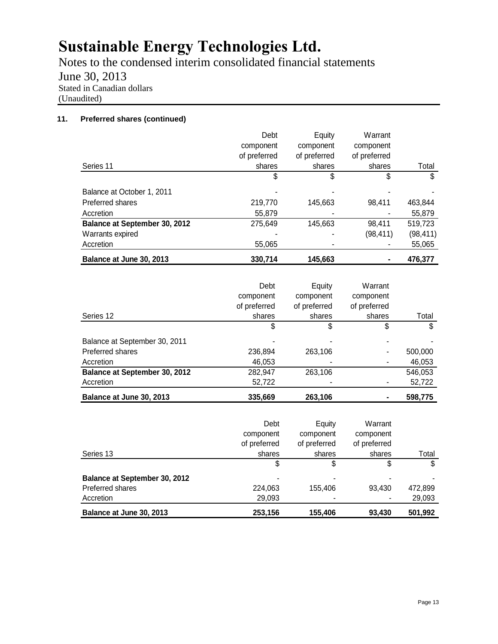Notes to the condensed interim consolidated financial statements June 30, 2013 Stated in Canadian dollars (Unaudited)

## **11. Preferred shares (continued)**

|                               | Debt         | Equity       | Warrant      |           |
|-------------------------------|--------------|--------------|--------------|-----------|
|                               | component    | component    | component    |           |
|                               | of preferred | of preferred | of preferred |           |
| Series 11                     | shares       | shares       | shares       | Total     |
|                               | \$           | \$           | \$           | \$        |
| Balance at October 1, 2011    |              |              |              |           |
| Preferred shares              | 219,770      | 145,663      | 98.411       | 463,844   |
| Accretion                     | 55,879       |              |              | 55,879    |
| Balance at September 30, 2012 | 275,649      | 145,663      | 98,411       | 519,723   |
| Warrants expired              |              |              | (98,411)     | (98, 411) |
| Accretion                     | 55,065       |              |              | 55,065    |
| Balance at June 30, 2013      | 330.714      | 145,663      |              | 476.377   |

| Series 12                            | Debt<br>component<br>of preferred<br>shares | Equity<br>component<br>of preferred<br>shares | Warrant<br>component<br>of preferred<br>shares | Total   |
|--------------------------------------|---------------------------------------------|-----------------------------------------------|------------------------------------------------|---------|
|                                      | S                                           | S                                             | \$                                             |         |
| Balance at September 30, 2011        |                                             |                                               |                                                |         |
| Preferred shares                     | 236,894                                     | 263,106                                       |                                                | 500,000 |
| Accretion                            | 46,053                                      |                                               |                                                | 46,053  |
| <b>Balance at September 30, 2012</b> | 282,947                                     | 263,106                                       |                                                | 546,053 |
| Accretion                            | 52,722                                      |                                               |                                                | 52,722  |
| Balance at June 30, 2013             | 335.669                                     | 263,106                                       |                                                | 598,775 |

|                                      | Debt<br>component<br>of preferred | Equity<br>component<br>of preferred | Warrant<br>component<br>of preferred |         |
|--------------------------------------|-----------------------------------|-------------------------------------|--------------------------------------|---------|
| Series 13                            | shares                            | shares                              | shares                               | Total   |
|                                      | \$                                | \$                                  | S                                    | \$      |
| <b>Balance at September 30, 2012</b> | -                                 |                                     |                                      |         |
| Preferred shares                     | 224.063                           | 155.406                             | 93,430                               | 472,899 |
| Accretion                            | 29,093                            |                                     |                                      | 29,093  |
| Balance at June 30, 2013             | 253,156                           | 155,406                             | 93.430                               | 501,992 |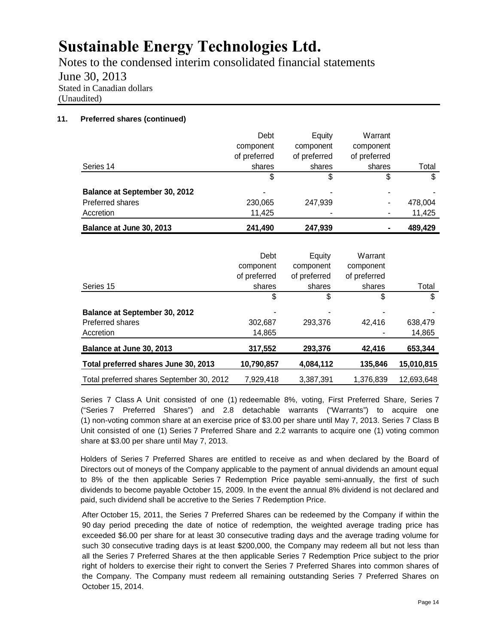Notes to the condensed interim consolidated financial statements June 30, 2013 Stated in Canadian dollars (Unaudited)

## **11. Preferred shares (continued)**

|                                      | Debt           | Equity       | Warrant      |         |
|--------------------------------------|----------------|--------------|--------------|---------|
|                                      | component      | component    | component    |         |
|                                      | of preferred   | of preferred | of preferred |         |
| Series 14                            | shares         | shares       | shares       | Total   |
|                                      | S              | \$           | \$           | \$      |
| <b>Balance at September 30, 2012</b> | $\blacksquare$ |              | ۰            |         |
| Preferred shares                     | 230,065        | 247,939      | ۰            | 478,004 |
| Accretion                            | 11,425         |              | ٠            | 11,425  |
| Balance at June 30, 2013             | 241,490        | 247,939      | ۰            | 489,429 |

| Series 15                                 | Debt<br>component<br>of preferred<br>shares | Equity<br>component<br>of preferred<br>shares | Warrant<br>component<br>of preferred<br>shares | Total      |
|-------------------------------------------|---------------------------------------------|-----------------------------------------------|------------------------------------------------|------------|
|                                           | \$                                          | \$                                            | \$                                             | \$         |
| <b>Balance at September 30, 2012</b>      |                                             |                                               |                                                |            |
| Preferred shares                          | 302,687                                     | 293.376                                       | 42.416                                         | 638,479    |
| Accretion                                 | 14,865                                      |                                               |                                                | 14,865     |
| Balance at June 30, 2013                  | 317,552                                     | 293,376                                       | 42,416                                         | 653,344    |
| Total preferred shares June 30, 2013      | 10,790,857                                  | 4,084,112                                     | 135.846                                        | 15,010,815 |
| Total preferred shares September 30, 2012 | 7.929.418                                   | 3.387.391                                     | 1,376,839                                      | 12,693,648 |

Series 7 Class A Unit consisted of one (1) redeemable 8%, voting, First Preferred Share, Series 7 ("Series 7 Preferred Shares") and 2.8 detachable warrants ("Warrants") to acquire one (1) non-voting common share at an exercise price of \$3.00 per share until May 7, 2013. Series 7 Class B Unit consisted of one (1) Series 7 Preferred Share and 2.2 warrants to acquire one (1) voting common share at \$3.00 per share until May 7, 2013.

Holders of Series 7 Preferred Shares are entitled to receive as and when declared by the Board of Directors out of moneys of the Company applicable to the payment of annual dividends an amount equal to 8% of the then applicable Series 7 Redemption Price payable semi-annually, the first of such dividends to become payable October 15, 2009. In the event the annual 8% dividend is not declared and paid, such dividend shall be accretive to the Series 7 Redemption Price.

After October 15, 2011, the Series 7 Preferred Shares can be redeemed by the Company if within the 90 day period preceding the date of notice of redemption, the weighted average trading price has exceeded \$6.00 per share for at least 30 consecutive trading days and the average trading volume for such 30 consecutive trading days is at least \$200,000, the Company may redeem all but not less than all the Series 7 Preferred Shares at the then applicable Series 7 Redemption Price subject to the prior right of holders to exercise their right to convert the Series 7 Preferred Shares into common shares of the Company. The Company must redeem all remaining outstanding Series 7 Preferred Shares on October 15, 2014.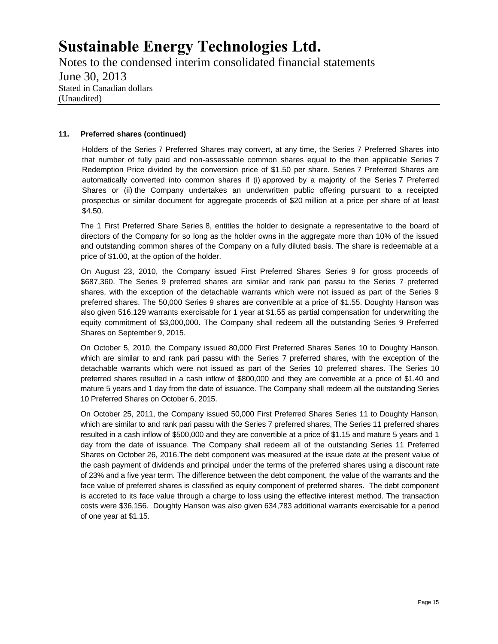Notes to the condensed interim consolidated financial statements June 30, 2013 Stated in Canadian dollars (Unaudited)

### **11. Preferred shares (continued)**

Holders of the Series 7 Preferred Shares may convert, at any time, the Series 7 Preferred Shares into that number of fully paid and non-assessable common shares equal to the then applicable Series 7 Redemption Price divided by the conversion price of \$1.50 per share. Series 7 Preferred Shares are automatically converted into common shares if (i) approved by a majority of the Series 7 Preferred Shares or (ii) the Company undertakes an underwritten public offering pursuant to a receipted prospectus or similar document for aggregate proceeds of \$20 million at a price per share of at least \$4.50.

The 1 First Preferred Share Series 8, entitles the holder to designate a representative to the board of directors of the Company for so long as the holder owns in the aggregate more than 10% of the issued and outstanding common shares of the Company on a fully diluted basis. The share is redeemable at a price of \$1.00, at the option of the holder.

On August 23, 2010, the Company issued First Preferred Shares Series 9 for gross proceeds of \$687,360. The Series 9 preferred shares are similar and rank pari passu to the Series 7 preferred shares, with the exception of the detachable warrants which were not issued as part of the Series 9 preferred shares. The 50,000 Series 9 shares are convertible at a price of \$1.55. Doughty Hanson was also given 516,129 warrants exercisable for 1 year at \$1.55 as partial compensation for underwriting the equity commitment of \$3,000,000. The Company shall redeem all the outstanding Series 9 Preferred Shares on September 9, 2015.

On October 5, 2010, the Company issued 80,000 First Preferred Shares Series 10 to Doughty Hanson, which are similar to and rank pari passu with the Series 7 preferred shares, with the exception of the detachable warrants which were not issued as part of the Series 10 preferred shares. The Series 10 preferred shares resulted in a cash inflow of \$800,000 and they are convertible at a price of \$1.40 and mature 5 years and 1 day from the date of issuance. The Company shall redeem all the outstanding Series 10 Preferred Shares on October 6, 2015.

On October 25, 2011, the Company issued 50,000 First Preferred Shares Series 11 to Doughty Hanson, which are similar to and rank pari passu with the Series 7 preferred shares, The Series 11 preferred shares resulted in a cash inflow of \$500,000 and they are convertible at a price of \$1.15 and mature 5 years and 1 day from the date of issuance. The Company shall redeem all of the outstanding Series 11 Preferred Shares on October 26, 2016.The debt component was measured at the issue date at the present value of the cash payment of dividends and principal under the terms of the preferred shares using a discount rate of 23% and a five year term. The difference between the debt component, the value of the warrants and the face value of preferred shares is classified as equity component of preferred shares. The debt component is accreted to its face value through a charge to loss using the effective interest method. The transaction costs were \$36,156. Doughty Hanson was also given 634,783 additional warrants exercisable for a period of one year at \$1.15.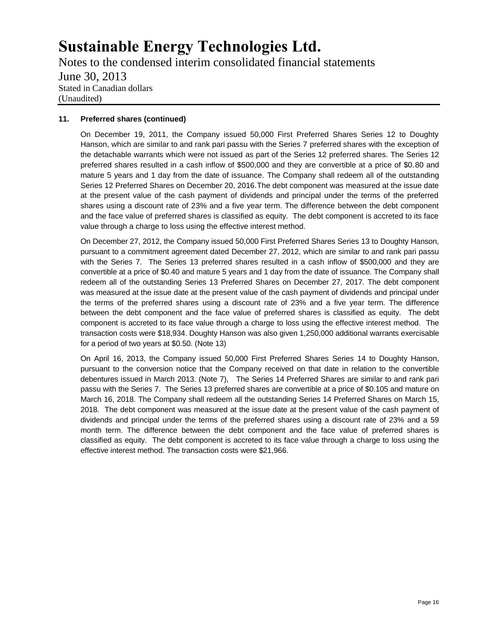Notes to the condensed interim consolidated financial statements June 30, 2013 Stated in Canadian dollars (Unaudited)

### **11. Preferred shares (continued)**

On December 19, 2011, the Company issued 50,000 First Preferred Shares Series 12 to Doughty Hanson, which are similar to and rank pari passu with the Series 7 preferred shares with the exception of the detachable warrants which were not issued as part of the Series 12 preferred shares. The Series 12 preferred shares resulted in a cash inflow of \$500,000 and they are convertible at a price of \$0.80 and mature 5 years and 1 day from the date of issuance. The Company shall redeem all of the outstanding Series 12 Preferred Shares on December 20, 2016.The debt component was measured at the issue date at the present value of the cash payment of dividends and principal under the terms of the preferred shares using a discount rate of 23% and a five year term. The difference between the debt component and the face value of preferred shares is classified as equity. The debt component is accreted to its face value through a charge to loss using the effective interest method.

On December 27, 2012, the Company issued 50,000 First Preferred Shares Series 13 to Doughty Hanson, pursuant to a commitment agreement dated December 27, 2012, which are similar to and rank pari passu with the Series 7. The Series 13 preferred shares resulted in a cash inflow of \$500,000 and they are convertible at a price of \$0.40 and mature 5 years and 1 day from the date of issuance. The Company shall redeem all of the outstanding Series 13 Preferred Shares on December 27, 2017. The debt component was measured at the issue date at the present value of the cash payment of dividends and principal under the terms of the preferred shares using a discount rate of 23% and a five year term. The difference between the debt component and the face value of preferred shares is classified as equity. The debt component is accreted to its face value through a charge to loss using the effective interest method. The transaction costs were \$18,934. Doughty Hanson was also given 1,250,000 additional warrants exercisable for a period of two years at \$0.50. (Note 13)

On April 16, 2013, the Company issued 50,000 First Preferred Shares Series 14 to Doughty Hanson, pursuant to the conversion notice that the Company received on that date in relation to the convertible debentures issued in March 2013. (Note 7), The Series 14 Preferred Shares are similar to and rank pari passu with the Series 7. The Series 13 preferred shares are convertible at a price of \$0.105 and mature on March 16, 2018. The Company shall redeem all the outstanding Series 14 Preferred Shares on March 15, 2018. The debt component was measured at the issue date at the present value of the cash payment of dividends and principal under the terms of the preferred shares using a discount rate of 23% and a 59 month term. The difference between the debt component and the face value of preferred shares is classified as equity. The debt component is accreted to its face value through a charge to loss using the effective interest method. The transaction costs were \$21,966.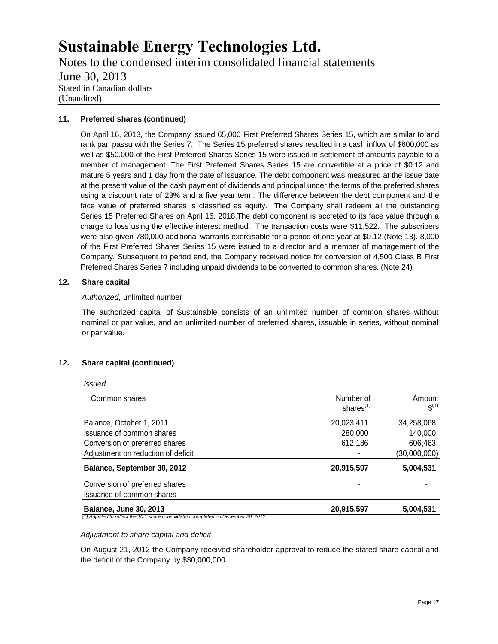Notes to the condensed interim consolidated financial statements June 30, 2013 Stated in Canadian dollars (Unaudited)

### **11. Preferred shares (continued)**

On April 16, 2013, the Company issued 65,000 First Preferred Shares Series 15, which are similar to and rank pari passu with the Series 7. The Series 15 preferred shares resulted in a cash inflow of \$600,000 as well as \$50,000 of the First Preferred Shares Series 15 were issued in settlement of amounts payable to a member of management. The First Preferred Shares Series 15 are convertible at a price of \$0.12 and mature 5 years and 1 day from the date of issuance. The debt component was measured at the issue date at the present value of the cash payment of dividends and principal under the terms of the preferred shares using a discount rate of 23% and a five year term. The difference between the debt component and the face value of preferred shares is classified as equity. The Company shall redeem all the outstanding Series 15 Preferred Shares on April 16, 2018.The debt component is accreted to its face value through a charge to loss using the effective interest method. The transaction costs were \$11,522. The subscribers were also given 780,000 additional warrants exercisable for a period of one year at \$0.12 (Note 13). 8,000 of the First Preferred Shares Series 15 were issued to a director and a member of management of the Company. Subsequent to period end, the Company received notice for conversion of 4,500 Class B First Preferred Shares Series 7 including unpaid dividends to be converted to common shares. (Note 24)

#### **12. Share capital**

*Issued*

#### *Authorized,* unlimited number

The authorized capital of Sustainable consists of an unlimited number of common shares without nominal or par value, and an unlimited number of preferred shares, issuable in series, without nominal or par value.

### **12. Share capital (continued)**

| Issuance of common shares          | ٠                         |                     |
|------------------------------------|---------------------------|---------------------|
|                                    |                           |                     |
| Conversion of preferred shares     |                           |                     |
| Balance, September 30, 2012        | 20,915,597                | 5,004,531           |
| Adjustment on reduction of deficit |                           | (30,000,000)        |
| Conversion of preferred shares     | 612.186                   | 606.463             |
| Issuance of common shares          | 280,000                   | 140,000             |
| Balance, October 1, 2011           | 20,023,411                | 34,258,068          |
| Common shares                      | Number of<br>shares $(1)$ | Amount<br>$S^{(1)}$ |

#### *Adjustment to share capital and deficit*

On August 21, 2012 the Company received shareholder approval to reduce the stated share capital and the deficit of the Company by \$30,000,000.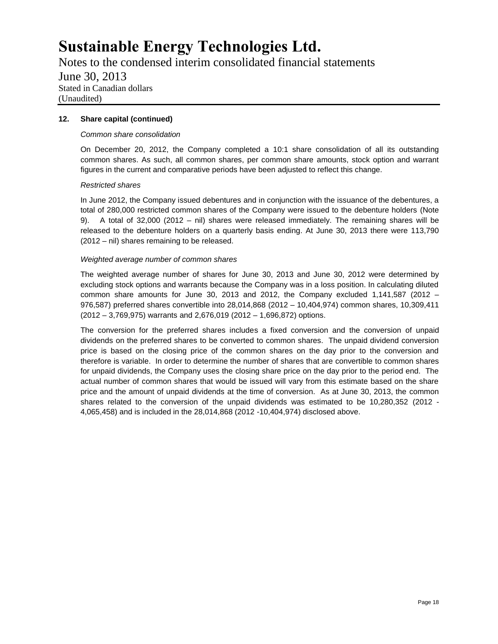Notes to the condensed interim consolidated financial statements June 30, 2013 Stated in Canadian dollars (Unaudited)

### **12. Share capital (continued)**

## *Common share consolidation*

On December 20, 2012, the Company completed a 10:1 share consolidation of all its outstanding common shares. As such, all common shares, per common share amounts, stock option and warrant figures in the current and comparative periods have been adjusted to reflect this change.

## *Restricted shares*

In June 2012, the Company issued debentures and in conjunction with the issuance of the debentures, a total of 280,000 restricted common shares of the Company were issued to the debenture holders (Note 9). A total of 32,000 (2012 – nil) shares were released immediately. The remaining shares will be released to the debenture holders on a quarterly basis ending. At June 30, 2013 there were 113,790 (2012 – nil) shares remaining to be released.

## *Weighted average number of common shares*

The weighted average number of shares for June 30, 2013 and June 30, 2012 were determined by excluding stock options and warrants because the Company was in a loss position. In calculating diluted common share amounts for June 30, 2013 and 2012, the Company excluded  $1,141,587$  (2012 – 976,587) preferred shares convertible into 28,014,868 (2012 – 10,404,974) common shares, 10,309,411 (2012 – 3,769,975) warrants and 2,676,019 (2012 – 1,696,872) options.

The conversion for the preferred shares includes a fixed conversion and the conversion of unpaid dividends on the preferred shares to be converted to common shares. The unpaid dividend conversion price is based on the closing price of the common shares on the day prior to the conversion and therefore is variable. In order to determine the number of shares that are convertible to common shares for unpaid dividends, the Company uses the closing share price on the day prior to the period end. The actual number of common shares that would be issued will vary from this estimate based on the share price and the amount of unpaid dividends at the time of conversion. As at June 30, 2013, the common shares related to the conversion of the unpaid dividends was estimated to be 10,280,352 (2012 - 4,065,458) and is included in the 28,014,868 (2012 -10,404,974) disclosed above.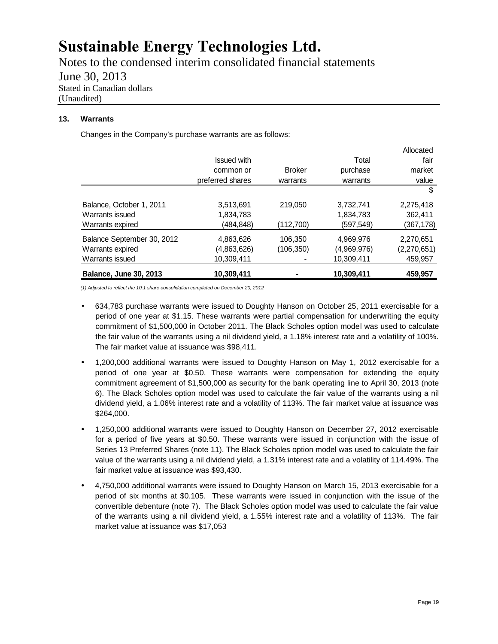Notes to the condensed interim consolidated financial statements June 30, 2013 Stated in Canadian dollars (Unaudited)

## **13. Warrants**

Changes in the Company's purchase warrants are as follows:

| <b>Balance, June 30, 2013</b> | 10,309,411         |               | 10,309,411  | 459,957     |
|-------------------------------|--------------------|---------------|-------------|-------------|
| Warrants issued               | 10,309,411         |               | 10,309,411  | 459,957     |
| Warrants expired              | (4,863,626)        | (106,350)     | (4,969,976) | (2,270,651) |
| Balance September 30, 2012    | 4,863,626          | 106.350       | 4,969,976   | 2,270,651   |
| Warrants expired              | (484, 848)         | (112,700)     | (597,549)   | (367,178)   |
| Warrants issued               | 1,834,783          |               | 1,834,783   | 362,411     |
| Balance, October 1, 2011      | 3,513,691          | 219.050       | 3,732,741   | 2,275,418   |
|                               |                    |               |             | \$          |
|                               | preferred shares   | warrants      | warrants    | value       |
|                               | common or          | <b>Broker</b> | purchase    | market      |
|                               | <b>Issued with</b> |               | Total       | fair        |
|                               |                    |               |             | Allocated   |

*(1) Adjusted to reflect the 10:1 share consolidation completed on December 20, 2012*

- 634,783 purchase warrants were issued to Doughty Hanson on October 25, 2011 exercisable for a period of one year at \$1.15. These warrants were partial compensation for underwriting the equity commitment of \$1,500,000 in October 2011. The Black Scholes option model was used to calculate the fair value of the warrants using a nil dividend yield, a 1.18% interest rate and a volatility of 100%. The fair market value at issuance was \$98,411.
- 1,200,000 additional warrants were issued to Doughty Hanson on May 1, 2012 exercisable for a period of one year at \$0.50. These warrants were compensation for extending the equity commitment agreement of \$1,500,000 as security for the bank operating line to April 30, 2013 (note 6). The Black Scholes option model was used to calculate the fair value of the warrants using a nil dividend yield, a 1.06% interest rate and a volatility of 113%. The fair market value at issuance was \$264,000.
- 1,250,000 additional warrants were issued to Doughty Hanson on December 27, 2012 exercisable for a period of five years at \$0.50. These warrants were issued in conjunction with the issue of Series 13 Preferred Shares (note 11). The Black Scholes option model was used to calculate the fair value of the warrants using a nil dividend yield, a 1.31% interest rate and a volatility of 114.49%. The fair market value at issuance was \$93,430.
- 4,750,000 additional warrants were issued to Doughty Hanson on March 15, 2013 exercisable for a period of six months at \$0.105. These warrants were issued in conjunction with the issue of the convertible debenture (note 7). The Black Scholes option model was used to calculate the fair value of the warrants using a nil dividend yield, a 1.55% interest rate and a volatility of 113%. The fair market value at issuance was \$17,053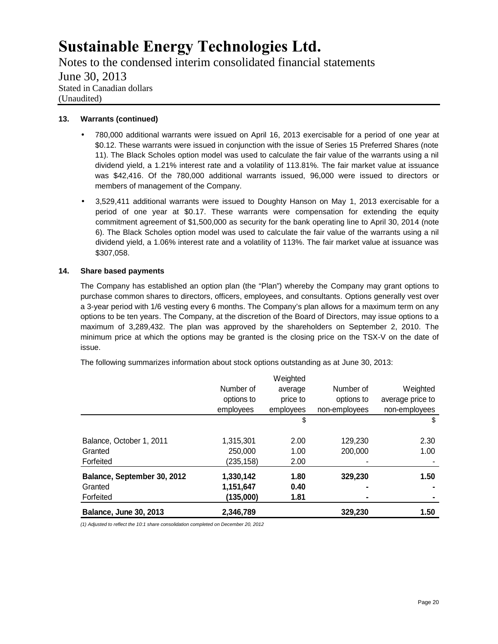Notes to the condensed interim consolidated financial statements June 30, 2013 Stated in Canadian dollars (Unaudited)

## **13. Warrants (continued)**

- 780,000 additional warrants were issued on April 16, 2013 exercisable for a period of one year at \$0.12. These warrants were issued in conjunction with the issue of Series 15 Preferred Shares (note 11). The Black Scholes option model was used to calculate the fair value of the warrants using a nil dividend yield, a 1.21% interest rate and a volatility of 113.81%. The fair market value at issuance was \$42,416. Of the 780,000 additional warrants issued, 96,000 were issued to directors or members of management of the Company.
- 3,529,411 additional warrants were issued to Doughty Hanson on May 1, 2013 exercisable for a period of one year at \$0.17. These warrants were compensation for extending the equity commitment agreement of \$1,500,000 as security for the bank operating line to April 30, 2014 (note 6). The Black Scholes option model was used to calculate the fair value of the warrants using a nil dividend yield, a 1.06% interest rate and a volatility of 113%. The fair market value at issuance was \$307,058.

## **14. Share based payments**

The Company has established an option plan (the "Plan") whereby the Company may grant options to purchase common shares to directors, officers, employees, and consultants. Options generally vest over a 3-year period with 1/6 vesting every 6 months. The Company's plan allows for a maximum term on any options to be ten years. The Company, at the discretion of the Board of Directors, may issue options to a maximum of 3,289,432. The plan was approved by the shareholders on September 2, 2010. The minimum price at which the options may be granted is the closing price on the TSX-V on the date of issue.

| <b>Balance, June 30, 2013</b> | 2,346,789  |           | 329,230       | 1.50             |
|-------------------------------|------------|-----------|---------------|------------------|
| Forfeited                     | (135,000)  | 1.81      |               |                  |
| Granted                       | 1,151,647  | 0.40      |               |                  |
| Balance, September 30, 2012   | 1,330,142  | 1.80      | 329,230       | 1.50             |
| Forfeited                     | (235,158)  | 2.00      |               |                  |
| Granted                       | 250,000    | 1.00      | 200,000       | 1.00             |
| Balance, October 1, 2011      | 1,315,301  | 2.00      | 129.230       | 2.30             |
|                               |            | \$        |               | \$               |
|                               | employees  | employees | non-employees | non-employees    |
|                               | options to | price to  | options to    | average price to |
|                               | Number of  | average   | Number of     | Weighted         |
|                               |            | Weighted  |               |                  |

The following summarizes information about stock options outstanding as at June 30, 2013:

*(1) Adjusted to reflect the 10:1 share consolidation completed on December 20, 2012*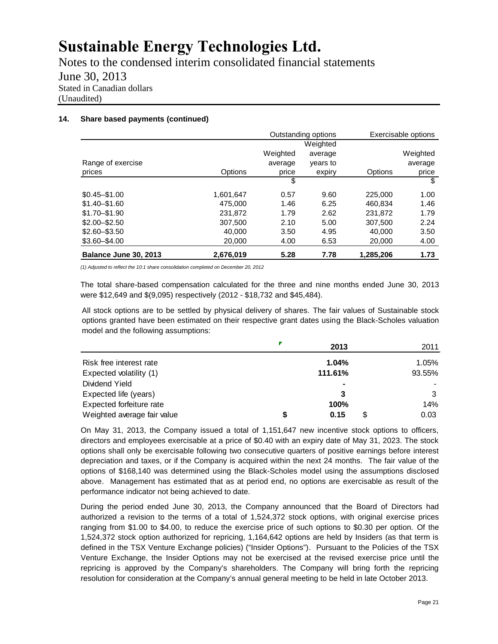Notes to the condensed interim consolidated financial statements June 30, 2013 Stated in Canadian dollars (Unaudited)

#### **14. Share based payments (continued)**

|                       |                | Outstanding options |          |                | Exercisable options |
|-----------------------|----------------|---------------------|----------|----------------|---------------------|
|                       |                |                     | Weighted |                |                     |
|                       |                | Weighted            | average  |                | Weighted            |
| Range of exercise     |                | average             | years to |                | average             |
| prices                | <b>Options</b> | price               | expiry   | <b>Options</b> | price               |
|                       |                | \$                  |          |                | \$                  |
| $$0.45 - $1.00$       | 1,601,647      | 0.57                | 9.60     | 225,000        | 1.00                |
| $$1.40 - $1.60$       | 475,000        | 1.46                | 6.25     | 460.834        | 1.46                |
| $$1.70 - $1.90$       | 231.872        | 1.79                | 2.62     | 231.872        | 1.79                |
| $$2.00 - $2.50$       | 307.500        | 2.10                | 5.00     | 307,500        | 2.24                |
| $$2.60 - $3.50$       | 40.000         | 3.50                | 4.95     | 40.000         | 3.50                |
| $$3.60 - $4.00$       | 20,000         | 4.00                | 6.53     | 20,000         | 4.00                |
| Balance June 30, 2013 | 2,676,019      | 5.28                | 7.78     | 1,285,206      | 1.73                |

*(1) Adjusted to reflect the 10:1 share consolidation completed on December 20, 2012*

The total share-based compensation calculated for the three and nine months ended June 30, 2013 were \$12,649 and \$(9,095) respectively (2012 - \$18,732 and \$45,484).

All stock options are to be settled by physical delivery of shares. The fair values of Sustainable stock options granted have been estimated on their respective grant dates using the Black-Scholes valuation model and the following assumptions:

|                             |   | 2013           | 2011  |
|-----------------------------|---|----------------|-------|
| Risk free interest rate     |   | 1.04%          | 1.05% |
| Expected volatility (1)     |   | 93.55%         |       |
| Dividend Yield              |   | $\blacksquare$ |       |
| Expected life (years)       |   | 3              |       |
| Expected forfeiture rate    |   | 100%           | 14%   |
| Weighted average fair value | S | 0.15           | 0.03  |

On May 31, 2013, the Company issued a total of 1,151,647 new incentive stock options to officers, directors and employees exercisable at a price of \$0.40 with an expiry date of May 31, 2023. The stock options shall only be exercisable following two consecutive quarters of positive earnings before interest depreciation and taxes, or if the Company is acquired within the next 24 months. The fair value of the options of \$168,140 was determined using the Black-Scholes model using the assumptions disclosed above. Management has estimated that as at period end, no options are exercisable as result of the performance indicator not being achieved to date.

During the period ended June 30, 2013, the Company announced that the Board of Directors had authorized a revision to the terms of a total of 1,524,372 stock options, with original exercise prices ranging from \$1.00 to \$4.00, to reduce the exercise price of such options to \$0.30 per option. Of the 1,524,372 stock option authorized for repricing, 1,164,642 options are held by Insiders (as that term is defined in the TSX Venture Exchange policies) ("Insider Options"). Pursuant to the Policies of the TSX Venture Exchange, the Insider Options may not be exercised at the revised exercise price until the repricing is approved by the Company's shareholders. The Company will bring forth the repricing resolution for consideration at the Company's annual general meeting to be held in late October 2013.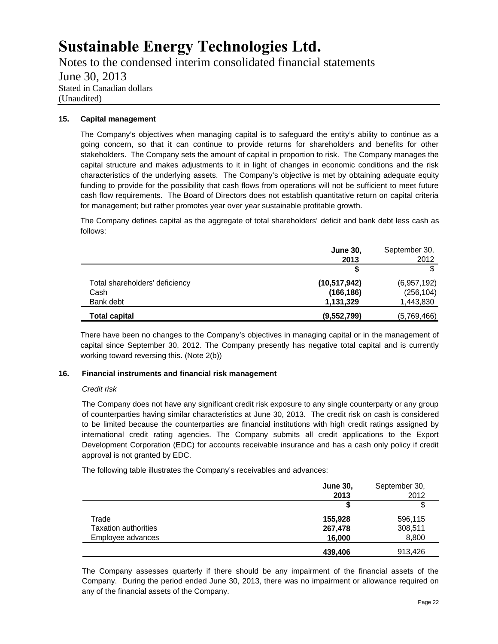Notes to the condensed interim consolidated financial statements June 30, 2013 Stated in Canadian dollars (Unaudited)

## **15. Capital management**

The Company's objectives when managing capital is to safeguard the entity's ability to continue as a going concern, so that it can continue to provide returns for shareholders and benefits for other stakeholders. The Company sets the amount of capital in proportion to risk. The Company manages the capital structure and makes adjustments to it in light of changes in economic conditions and the risk characteristics of the underlying assets. The Company's objective is met by obtaining adequate equity funding to provide for the possibility that cash flows from operations will not be sufficient to meet future cash flow requirements. The Board of Directors does not establish quantitative return on capital criteria for management; but rather promotes year over year sustainable profitable growth.

The Company defines capital as the aggregate of total shareholders' deficit and bank debt less cash as follows:

|                                | <b>June 30,</b> | September 30, |
|--------------------------------|-----------------|---------------|
|                                | 2013            | 2012          |
|                                |                 | \$            |
| Total shareholders' deficiency | (10, 517, 942)  | (6,957,192)   |
| Cash                           | (166, 186)      | (256, 104)    |
| Bank debt                      | 1,131,329       | 1,443,830     |
| <b>Total capital</b>           | (9,552,799)     | (5,769,466)   |

There have been no changes to the Company's objectives in managing capital or in the management of capital since September 30, 2012. The Company presently has negative total capital and is currently working toward reversing this. (Note 2(b))

### **16. Financial instruments and financial risk management**

### *Credit risk*

The Company does not have any significant credit risk exposure to any single counterparty or any group of counterparties having similar characteristics at June 30, 2013. The credit risk on cash is considered to be limited because the counterparties are financial institutions with high credit ratings assigned by international credit rating agencies. The Company submits all credit applications to the Export Development Corporation (EDC) for accounts receivable insurance and has a cash only policy if credit approval is not granted by EDC.

The following table illustrates the Company's receivables and advances:

|                      | <b>June 30,</b><br>2013 | September 30,<br>2012 |
|----------------------|-------------------------|-----------------------|
|                      |                         | \$                    |
| Trade                | 155,928                 | 596,115               |
| Taxation authorities | 267,478                 | 308,511               |
| Employee advances    | 16,000                  | 8,800                 |
|                      | 439,406                 | 913,426               |

The Company assesses quarterly if there should be any impairment of the financial assets of the Company. During the period ended June 30, 2013, there was no impairment or allowance required on any of the financial assets of the Company.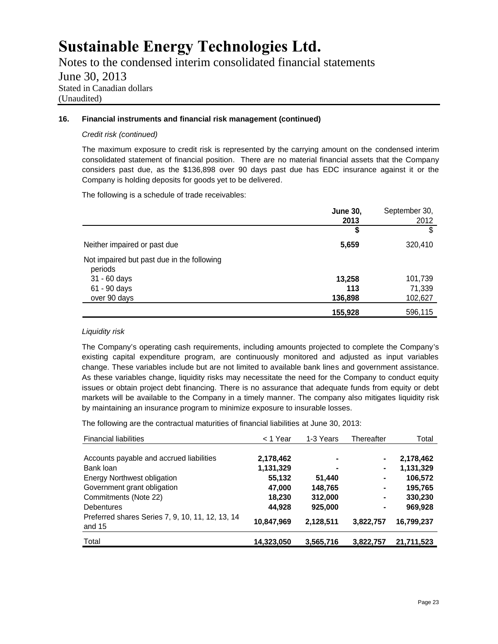Notes to the condensed interim consolidated financial statements June 30, 2013 Stated in Canadian dollars (Unaudited)

## **16. Financial instruments and financial risk management (continued)**

### *Credit risk (continued)*

The maximum exposure to credit risk is represented by the carrying amount on the condensed interim consolidated statement of financial position. There are no material financial assets that the Company considers past due, as the \$136,898 over 90 days past due has EDC insurance against it or the Company is holding deposits for goods yet to be delivered.

The following is a schedule of trade receivables:

|                                                       | <b>June 30,</b><br>2013 | September 30,<br>2012 |
|-------------------------------------------------------|-------------------------|-----------------------|
|                                                       | \$                      |                       |
| Neither impaired or past due                          | 5,659                   | 320,410               |
| Not impaired but past due in the following<br>periods |                         |                       |
| 31 - 60 days                                          | 13,258                  | 101,739               |
| 61 - 90 days                                          | 113                     | 71,339                |
| over 90 days                                          | 136,898                 | 102,627               |
|                                                       | 155,928                 | 596,115               |

## *Liquidity risk*

The Company's operating cash requirements, including amounts projected to complete the Company's existing capital expenditure program, are continuously monitored and adjusted as input variables change. These variables include but are not limited to available bank lines and government assistance. As these variables change, liquidity risks may necessitate the need for the Company to conduct equity issues or obtain project debt financing. There is no assurance that adequate funds from equity or debt markets will be available to the Company in a timely manner. The company also mitigates liquidity risk by maintaining an insurance program to minimize exposure to insurable losses.

The following are the contractual maturities of financial liabilities at June 30, 2013:

| <b>Financial liabilities</b>                               | $<$ 1 Year | 1-3 Years | Thereafter | Total      |
|------------------------------------------------------------|------------|-----------|------------|------------|
| Accounts payable and accrued liabilities                   | 2,178,462  |           |            | 2,178,462  |
| Bank loan                                                  | 1,131,329  |           |            | 1,131,329  |
| <b>Energy Northwest obligation</b>                         | 55,132     | 51,440    | ۰          | 106,572    |
| Government grant obligation                                | 47,000     | 148,765   | ۰          | 195,765    |
| Commitments (Note 22)                                      | 18,230     | 312,000   | ۰          | 330,230    |
| <b>Debentures</b>                                          | 44.928     | 925,000   | ۰          | 969,928    |
| Preferred shares Series 7, 9, 10, 11, 12, 13, 14<br>and 15 | 10,847,969 | 2,128,511 | 3,822,757  | 16,799,237 |
| Total                                                      | 14,323,050 | 3,565,716 | 3,822,757  | 21,711,523 |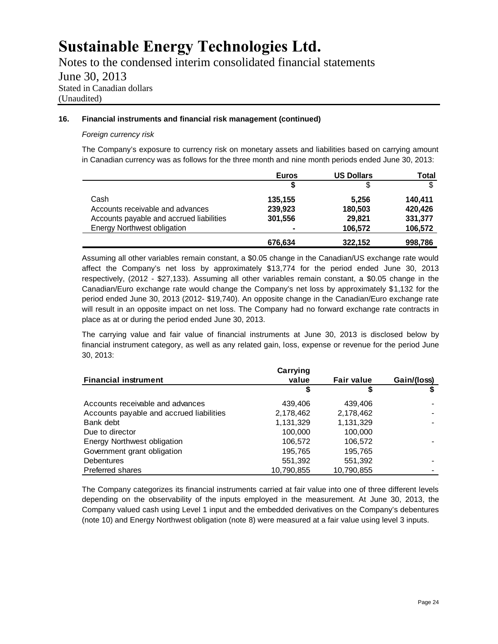Notes to the condensed interim consolidated financial statements June 30, 2013 Stated in Canadian dollars (Unaudited)

### **16. Financial instruments and financial risk management (continued)**

## *Foreign currency risk*

The Company's exposure to currency risk on monetary assets and liabilities based on carrying amount in Canadian currency was as follows for the three month and nine month periods ended June 30, 2013:

|                                          | <b>Euros</b>             | <b>US Dollars</b> | Total   |
|------------------------------------------|--------------------------|-------------------|---------|
|                                          |                          | S                 |         |
| Cash                                     | 135,155                  | 5,256             | 140,411 |
| Accounts receivable and advances         | 239,923                  | 180,503           | 420,426 |
| Accounts payable and accrued liabilities | 301,556                  | 29,821            | 331,377 |
| <b>Energy Northwest obligation</b>       | $\overline{\phantom{0}}$ | 106,572           | 106,572 |
|                                          | 676,634                  | 322,152           | 998,786 |

Assuming all other variables remain constant, a \$0.05 change in the Canadian/US exchange rate would affect the Company's net loss by approximately \$13,774 for the period ended June 30, 2013 respectively, (2012 - \$27,133). Assuming all other variables remain constant, a \$0.05 change in the Canadian/Euro exchange rate would change the Company's net loss by approximately \$1,132 for the period ended June 30, 2013 (2012- \$19,740). An opposite change in the Canadian/Euro exchange rate will result in an opposite impact on net loss. The Company had no forward exchange rate contracts in place as at or during the period ended June 30, 2013.

The carrying value and fair value of financial instruments at June 30, 2013 is disclosed below by financial instrument category, as well as any related gain, loss, expense or revenue for the period June 30, 2013:

|                                          | Carrying   |                   |             |
|------------------------------------------|------------|-------------------|-------------|
| <b>Financial instrument</b>              | value      | <b>Fair value</b> | Gain/(loss) |
|                                          |            | S                 |             |
| Accounts receivable and advances         | 439,406    | 439,406           |             |
| Accounts payable and accrued liabilities | 2,178,462  | 2,178,462         |             |
| Bank debt                                | 1,131,329  | 1,131,329         |             |
| Due to director                          | 100,000    | 100,000           |             |
| Energy Northwest obligation              | 106,572    | 106.572           |             |
| Government grant obligation              | 195,765    | 195,765           |             |
| <b>Debentures</b>                        | 551,392    | 551,392           |             |
| <b>Preferred shares</b>                  | 10,790,855 | 10,790,855        |             |

The Company categorizes its financial instruments carried at fair value into one of three different levels depending on the observability of the inputs employed in the measurement. At June 30, 2013, the Company valued cash using Level 1 input and the embedded derivatives on the Company's debentures (note 10) and Energy Northwest obligation (note 8) were measured at a fair value using level 3 inputs.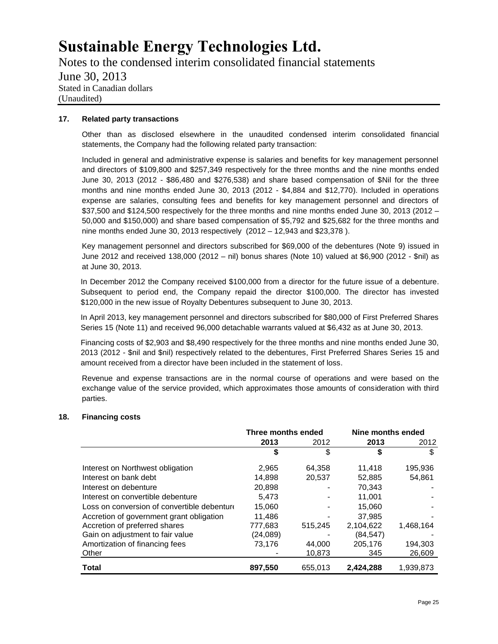Notes to the condensed interim consolidated financial statements June 30, 2013 Stated in Canadian dollars (Unaudited)

#### **17. Related party transactions**

Other than as disclosed elsewhere in the unaudited condensed interim consolidated financial statements, the Company had the following related party transaction:

Included in general and administrative expense is salaries and benefits for key management personnel and directors of \$109,800 and \$257,349 respectively for the three months and the nine months ended June 30, 2013 (2012 - \$86,480 and \$276,538) and share based compensation of \$Nil for the three months and nine months ended June 30, 2013 (2012 - \$4,884 and \$12,770). Included in operations expense are salaries, consulting fees and benefits for key management personnel and directors of \$37,500 and \$124,500 respectively for the three months and nine months ended June 30, 2013 (2012 – 50,000 and \$150,000) and share based compensation of \$5,792 and \$25,682 for the three months and nine months ended June 30, 2013 respectively (2012 – 12,943 and \$23,378 ).

Key management personnel and directors subscribed for \$69,000 of the debentures (Note 9) issued in June 2012 and received 138,000 (2012 – nil) bonus shares (Note 10) valued at \$6,900 (2012 - \$nil) as at June 30, 2013.

In December 2012 the Company received \$100,000 from a director for the future issue of a debenture. Subsequent to period end, the Company repaid the director \$100,000. The director has invested \$120,000 in the new issue of Royalty Debentures subsequent to June 30, 2013.

In April 2013, key management personnel and directors subscribed for \$80,000 of First Preferred Shares Series 15 (Note 11) and received 96,000 detachable warrants valued at \$6,432 as at June 30, 2013.

Financing costs of \$2,903 and \$8,490 respectively for the three months and nine months ended June 30, 2013 (2012 - \$nil and \$nil) respectively related to the debentures, First Preferred Shares Series 15 and amount received from a director have been included in the statement of loss.

Revenue and expense transactions are in the normal course of operations and were based on the exchange value of the service provided, which approximates those amounts of consideration with third parties.

#### **18. Financing costs**

|                                             | Three months ended |         | Nine months ended |           |
|---------------------------------------------|--------------------|---------|-------------------|-----------|
|                                             | 2013               | 2012    | 2013              | 2012      |
|                                             | S                  | \$      | \$                | \$        |
| Interest on Northwest obligation            | 2,965              | 64.358  | 11.418            | 195,936   |
| Interest on bank debt                       | 14,898             | 20,537  | 52,885            | 54,861    |
| Interest on debenture                       | 20.898             |         | 70.343            |           |
| Interest on convertible debenture           | 5.473              |         | 11,001            |           |
| Loss on conversion of convertible debenture | 15.060             |         | 15.060            |           |
| Accretion of government grant obligation    | 11.486             |         | 37.985            |           |
| Accretion of preferred shares               | 777.683            | 515.245 | 2,104,622         | 1,468,164 |
| Gain on adjustment to fair value            | (24,089)           |         | (84, 547)         |           |
| Amortization of financing fees              | 73.176             | 44.000  | 205.176           | 194.303   |
| Other                                       |                    | 10,873  | 345               | 26,609    |
| <b>Total</b>                                | 897,550            | 655.013 | 2.424.288         | 1.939.873 |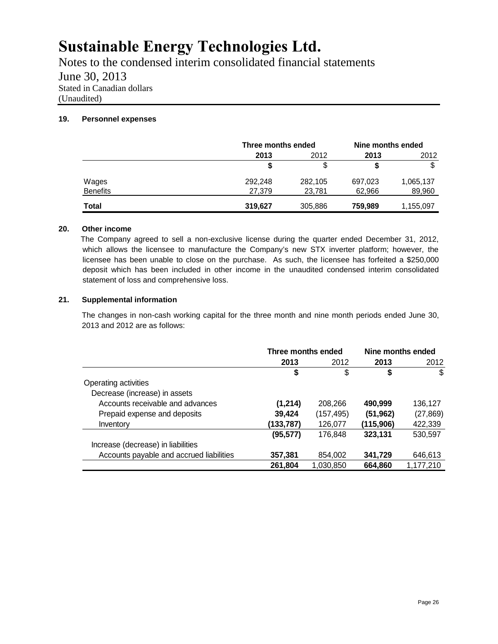Notes to the condensed interim consolidated financial statements June 30, 2013 Stated in Canadian dollars (Unaudited)

## **19. Personnel expenses**

|                 |         | Three months ended |         | Nine months ended |
|-----------------|---------|--------------------|---------|-------------------|
|                 | 2013    | 2012               | 2013    | 2012              |
|                 | \$      | \$                 |         | \$                |
| Wages           | 292,248 | 282,105            | 697,023 | 1,065,137         |
| <b>Benefits</b> | 27,379  | 23,781             | 62,966  | 89,960            |
| <b>Total</b>    | 319,627 | 305,886            | 759,989 | 1,155,097         |

## **20. Other income**

The Company agreed to sell a non-exclusive license during the quarter ended December 31, 2012, which allows the licensee to manufacture the Company's new STX inverter platform; however, the licensee has been unable to close on the purchase. As such, the licensee has forfeited a \$250,000 deposit which has been included in other income in the unaudited condensed interim consolidated statement of loss and comprehensive loss.

## **21. Supplemental information**

The changes in non-cash working capital for the three month and nine month periods ended June 30, 2013 and 2012 are as follows:

|                                          | Three months ended |            | Nine months ended |           |
|------------------------------------------|--------------------|------------|-------------------|-----------|
|                                          | 2013               | 2012       | 2013              | 2012      |
|                                          | \$                 | \$         | S                 | \$        |
| Operating activities                     |                    |            |                   |           |
| Decrease (increase) in assets            |                    |            |                   |           |
| Accounts receivable and advances         | (1,214)            | 208,266    | 490,999           | 136,127   |
| Prepaid expense and deposits             | 39,424             | (157, 495) | (51, 962)         | (27, 869) |
| Inventory                                | (133,787)          | 126,077    | (115, 906)        | 422,339   |
|                                          | (95, 577)          | 176.848    | 323,131           | 530,597   |
| Increase (decrease) in liabilities       |                    |            |                   |           |
| Accounts payable and accrued liabilities | 357,381            | 854,002    | 341,729           | 646,613   |
|                                          | 261,804            | 1.030.850  | 664,860           | 1,177,210 |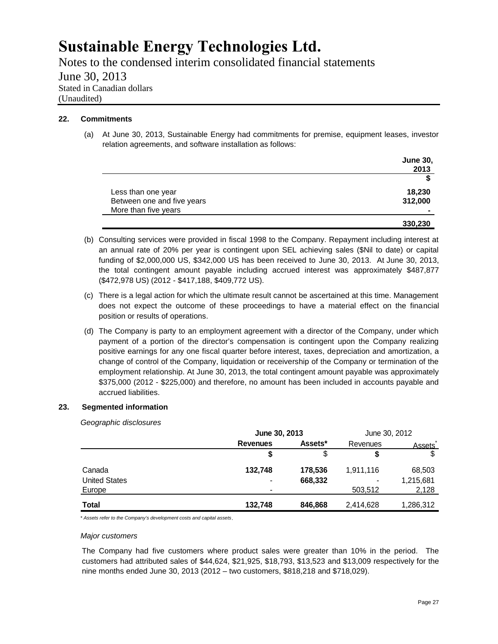Notes to the condensed interim consolidated financial statements June 30, 2013 Stated in Canadian dollars (Unaudited)

## **22. Commitments**

(a) At June 30, 2013, Sustainable Energy had commitments for premise, equipment leases, investor relation agreements, and software installation as follows:

|                            | <b>June 30,</b> |
|----------------------------|-----------------|
|                            | 2013            |
|                            | \$              |
| Less than one year         | 18,230          |
| Between one and five years | 312,000         |
| More than five years       | -               |
|                            | 330,230         |

- (b) Consulting services were provided in fiscal 1998 to the Company. Repayment including interest at an annual rate of 20% per year is contingent upon SEL achieving sales (\$Nil to date) or capital funding of \$2,000,000 US, \$342,000 US has been received to June 30, 2013. At June 30, 2013, the total contingent amount payable including accrued interest was approximately \$487,877 (\$472,978 US) (2012 - \$417,188, \$409,772 US).
- (c) There is a legal action for which the ultimate result cannot be ascertained at this time. Management does not expect the outcome of these proceedings to have a material effect on the financial position or results of operations.
- (d) The Company is party to an employment agreement with a director of the Company, under which payment of a portion of the director's compensation is contingent upon the Company realizing positive earnings for any one fiscal quarter before interest, taxes, depreciation and amortization, a change of control of the Company, liquidation or receivership of the Company or termination of the employment relationship. At June 30, 2013, the total contingent amount payable was approximately \$375,000 (2012 - \$225,000) and therefore, no amount has been included in accounts payable and accrued liabilities.

### **23. Segmented information**

*Geographic disclosures*

|                      | June 30, 2013   |         | June 30, 2012 |               |
|----------------------|-----------------|---------|---------------|---------------|
|                      | <b>Revenues</b> | Assets* | Revenues      | <b>Assets</b> |
|                      | \$              | S       | \$            |               |
| Canada               | 132,748         | 178.536 | 1,911,116     | 68,503        |
| <b>United States</b> | ۰               | 668,332 | ٠             | 1,215,681     |
| Europe               |                 |         | 503,512       | 2,128         |
| Total                | 132.748         | 846.868 | 2,414,628     | 1,286,312     |

\* *Assets refer to the Company's development costs and capital assets.*

#### *Major customers*

The Company had five customers where product sales were greater than 10% in the period. The customers had attributed sales of \$44,624, \$21,925, \$18,793, \$13,523 and \$13,009 respectively for the nine months ended June 30, 2013 (2012 – two customers, \$818,218 and \$718,029).